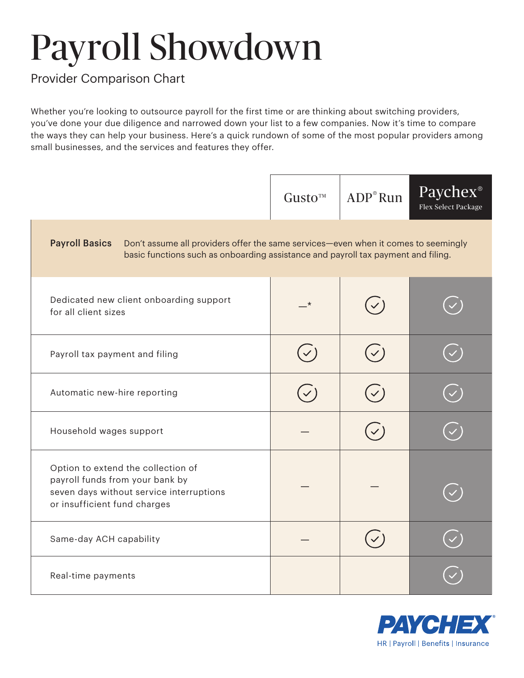## Payroll Showdown

## Provider Comparison Chart

Whether you're looking to outsource payroll for the first time or are thinking about switching providers, you've done your due diligence and narrowed down your list to a few companies. Now it's time to compare the ways they can help your business. Here's a quick rundown of some of the most popular providers among small businesses, and the services and features they offer.



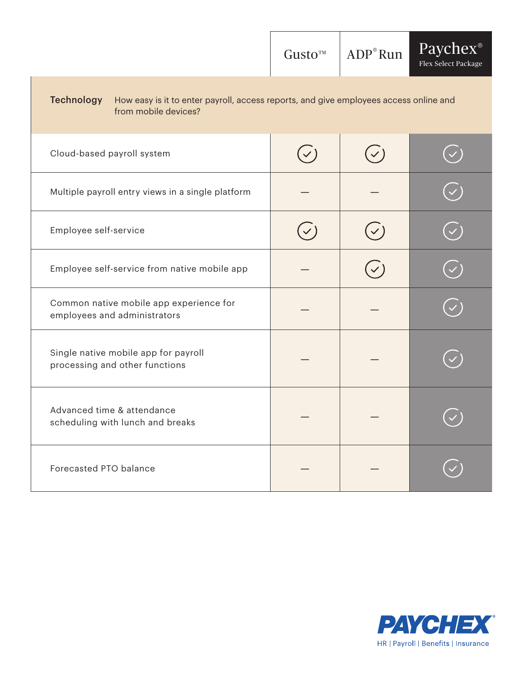|                                                                                                                                    | Gusto <sup>™</sup> | $ADP^{\circ}Run$ | Paychex <sup>®</sup><br>Flex Select Package |  |
|------------------------------------------------------------------------------------------------------------------------------------|--------------------|------------------|---------------------------------------------|--|
| <b>Technology</b><br>How easy is it to enter payroll, access reports, and give employees access online and<br>from mobile devices? |                    |                  |                                             |  |
| Cloud-based payroll system                                                                                                         | $(\checkmark)$     | $(\checkmark)$   |                                             |  |
| Multiple payroll entry views in a single platform                                                                                  |                    |                  |                                             |  |
| Employee self-service                                                                                                              |                    |                  |                                             |  |
| Employee self-service from native mobile app                                                                                       |                    |                  |                                             |  |
| Common native mobile app experience for<br>employees and administrators                                                            |                    |                  |                                             |  |
| Single native mobile app for payroll<br>processing and other functions                                                             |                    |                  |                                             |  |
| Advanced time & attendance<br>scheduling with lunch and breaks                                                                     |                    |                  |                                             |  |
| Forecasted PTO balance                                                                                                             |                    |                  |                                             |  |